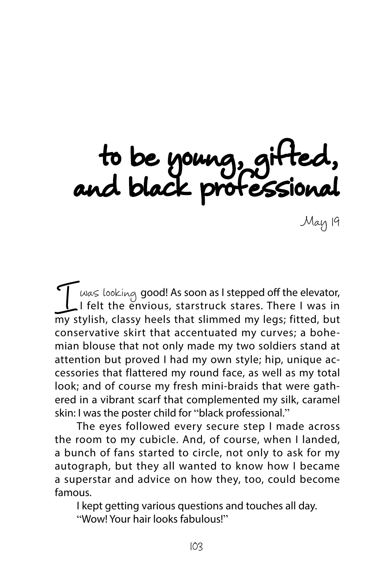to be young, gifted, and black professional

May 19

Was looking good! As soon as I stepped off the elevator,<br>I felt the envious, starstruck stares. There I was in<br>my stylish, classy heels that slimmed my legs; fitted, but I felt the envious, starstruck stares. There I was in my stylish, classy heels that slimmed my legs; fitted, but conservative skirt that accentuated my curves; a bohemian blouse that not only made my two soldiers stand at attention but proved I had my own style; hip, unique accessories that flattered my round face, as well as my total look; and of course my fresh mini-braids that were gathered in a vibrant scarf that complemented my silk, caramel skin: I was the poster child for "black professional."

The eyes followed every secure step I made across the room to my cubicle. And, of course, when I landed, a bunch of fans started to circle, not only to ask for my autograph, but they all wanted to know how I became a superstar and advice on how they, too, could become famous.

I kept getting various questions and touches all day. "Wow! Your hair looks fabulous!"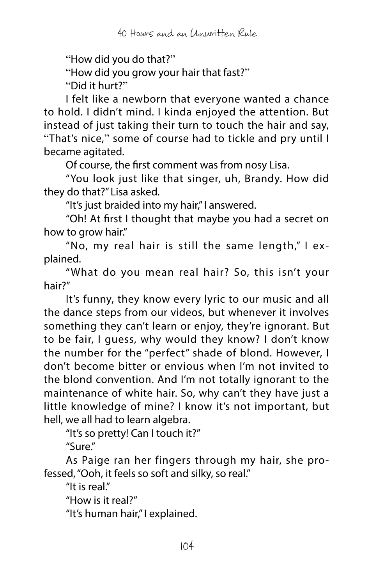"How did you do that?"

"How did you grow your hair that fast?"

"Did it hurt?"

I felt like a newborn that everyone wanted a chance to hold. I didn't mind. I kinda enjoyed the attention. But instead of just taking their turn to touch the hair and say, "That's nice," some of course had to tickle and pry until I became agitated.

Of course, the first comment was from nosy Lisa.

"You look just like that singer, uh, Brandy. How did they do that?" Lisa asked.

"It's just braided into my hair," I answered.

"Oh! At first I thought that maybe you had a secret on how to grow hair."

"No, my real hair is still the same length," I explained.

"What do you mean real hair? So, this isn't your hair?"

It's funny, they know every lyric to our music and all the dance steps from our videos, but whenever it involves something they can't learn or enjoy, they're ignorant. But to be fair, I guess, why would they know? I don't know the number for the "perfect" shade of blond. However, I don't become bitter or envious when I'm not invited to the blond convention. And I'm not totally ignorant to the maintenance of white hair. So, why can't they have just a little knowledge of mine? I know it's not important, but hell, we all had to learn algebra.

"It's so pretty! Can I touch it?" "Sure."

As Paige ran her fingers through my hair, she professed, "Ooh, it feels so soft and silky, so real."

"It is real."

"How is it real?"

"It's human hair," I explained.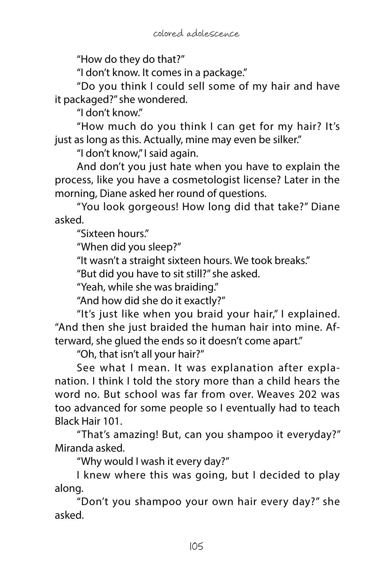"How do they do that?"

"I don't know. It comes in a package."

"Do you think I could sell some of my hair and have it packaged?" she wondered.

"I don't know."

"How much do you think I can get for my hair? It's just as long as this. Actually, mine may even be silker."

"I don't know," I said again.

And don't you just hate when you have to explain the process, like you have a cosmetologist license? Later in the morning, Diane asked her round of questions.

"You look gorgeous! How long did that take?" Diane asked.

"Sixteen hours."

"When did you sleep?"

"It wasn't a straight sixteen hours. We took breaks."

"But did you have to sit still?" she asked.

"Yeah, while she was braiding."

"And how did she do it exactly?"

"It's just like when you braid your hair," I explained. "And then she just braided the human hair into mine. Afterward, she glued the ends so it doesn't come apart."

"Oh, that isn't all your hair?"

See what I mean. It was explanation after explanation. I think I told the story more than a child hears the word no. But school was far from over. Weaves 202 was too advanced for some people so I eventually had to teach Black Hair 101.

"That's amazing! But, can you shampoo it everyday?" Miranda asked.

"Why would I wash it every day?"

I knew where this was going, but I decided to play along.

"Don't you shampoo your own hair every day?" she asked.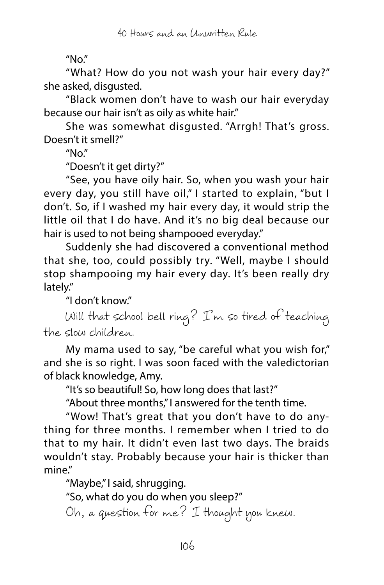"No."

"What? How do you not wash your hair every day?" she asked, disgusted.

"Black women don't have to wash our hair everyday because our hair isn't as oily as white hair."

She was somewhat disgusted. "Arrgh! That's gross. Doesn't it smell?"

 $''$ No."

"Doesn't it get dirty?"

"See, you have oily hair. So, when you wash your hair every day, you still have oil," I started to explain, "but I don't. So, if I washed my hair every day, it would strip the little oil that I do have. And it's no big deal because our hair is used to not being shampooed everyday."

Suddenly she had discovered a conventional method that she, too, could possibly try. "Well, maybe I should stop shampooing my hair every day. It's been really dry lately."

"I don't know."

Will that school bell ring? I'm so tired of teaching the slow children.

My mama used to say, "be careful what you wish for," and she is so right. I was soon faced with the valedictorian of black knowledge, Amy.

"It's so beautiful! So, how long does that last?"

"About three months," I answered for the tenth time.

"Wow! That's great that you don't have to do anything for three months. I remember when I tried to do that to my hair. It didn't even last two days. The braids wouldn't stay. Probably because your hair is thicker than mine."

"Maybe," I said, shrugging.

"So, what do you do when you sleep?"

Oh, a question for me? I thought you knew.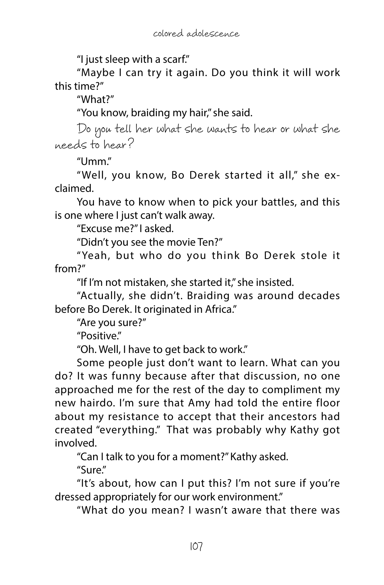"I just sleep with a scarf."

"Maybe I can try it again. Do you think it will work this time?"

"What?"

"You know, braiding my hair," she said.

Do you tell her what she wants to hear or what she needs to hear?

"Umm."

"Well, you know, Bo Derek started it all," she exclaimed.

You have to know when to pick your battles, and this is one where I just can't walk away.

"Excuse me?" I asked.

"Didn't you see the movie Ten?"

"Yeah, but who do you think Bo Derek stole it from?"

"If I'm not mistaken, she started it," she insisted.

"Actually, she didn't. Braiding was around decades before Bo Derek. It originated in Africa."

"Are you sure?"

"Positive."

"Oh. Well, I have to get back to work."

Some people just don't want to learn. What can you do? It was funny because after that discussion, no one approached me for the rest of the day to compliment my new hairdo. I'm sure that Amy had told the entire floor about my resistance to accept that their ancestors had created "everything." That was probably why Kathy got involved.

"Can I talk to you for a moment?" Kathy asked.

"Sure."

"It's about, how can I put this? I'm not sure if you're dressed appropriately for our work environment."

"What do you mean? I wasn't aware that there was